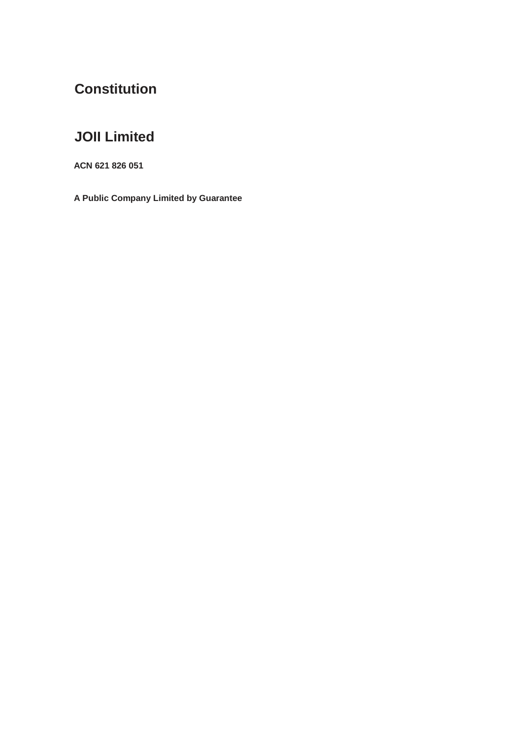# **Constitution**

# **JOII Limited**

**ACN 621 826 051**

**A Public Company Limited by Guarantee**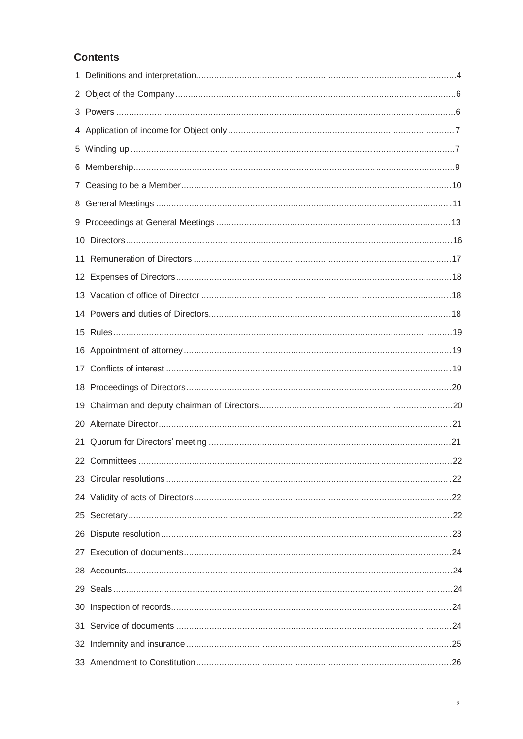# **Contents**

| 19 |               |    |
|----|---------------|----|
|    |               |    |
|    |               |    |
|    | 22 Committees | 22 |
|    |               |    |
|    |               |    |
|    |               |    |
|    |               |    |
|    |               |    |
|    |               |    |
|    |               |    |
|    |               |    |
|    |               |    |
|    |               |    |
|    |               |    |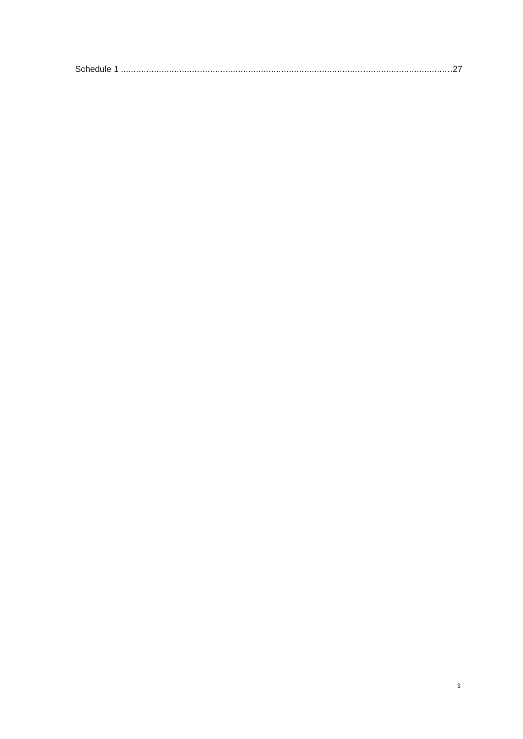|--|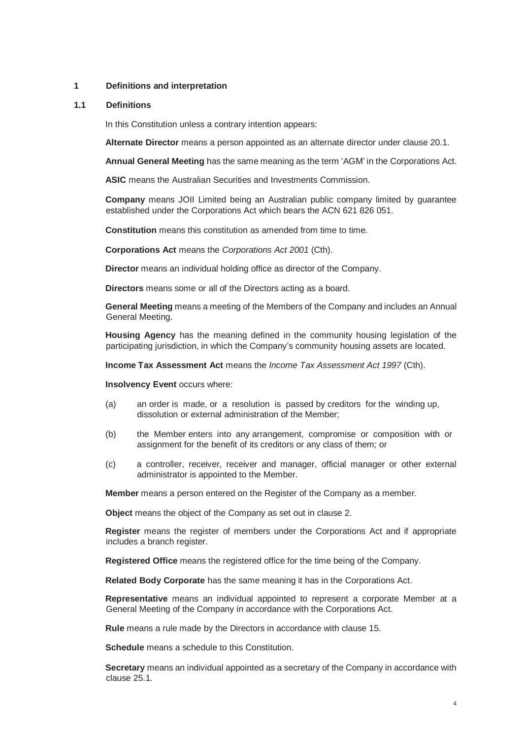#### **1 Definitions and interpretation**

#### **1.1 Definitions**

In this Constitution unless a contrary intention appears:

**Alternate Director** means a person appointed as an alternate director under clause 20.1.

**Annual General Meeting** has the same meaning as the term 'AGM' in the Corporations Act.

**ASIC** means the Australian Securities and Investments Commission.

**Company** means JOII Limited being an Australian public company limited by guarantee established under the Corporations Act which bears the ACN 621 826 051.

**Constitution** means this constitution as amended from time to time.

**Corporations Act** means the *Corporations Act 2001* (Cth).

**Director** means an individual holding office as director of the Company.

**Directors** means some or all of the Directors acting as a board.

**General Meeting** means a meeting of the Members of the Company and includes an Annual General Meeting.

**Housing Agency** has the meaning defined in the community housing legislation of the participating jurisdiction, in which the Company's community housing assets are located.

**Income Tax Assessment Act** means the *Income Tax Assessment Act 1997* (Cth).

**Insolvency Event** occurs where:

- (a) an order is made, or a resolution is passed by creditors for the winding up, dissolution or external administration of the Member;
- (b) the Member enters into any arrangement, compromise or composition with or assignment for the benefit of its creditors or any class of them; or
- (c) a controller, receiver, receiver and manager, official manager or other external administrator is appointed to the Member.

**Member** means a person entered on the Register of the Company as a member.

**Object** means the object of the Company as set out in clause 2.

**Register** means the register of members under the Corporations Act and if appropriate includes a branch register.

**Registered Office** means the registered office for the time being of the Company.

**Related Body Corporate** has the same meaning it has in the Corporations Act.

**Representative** means an individual appointed to represent a corporate Member at a General Meeting of the Company in accordance with the Corporations Act.

**Rule** means a rule made by the Directors in accordance with clause 15.

**Schedule** means a schedule to this Constitution.

**Secretary** means an individual appointed as a secretary of the Company in accordance with clause 25.1.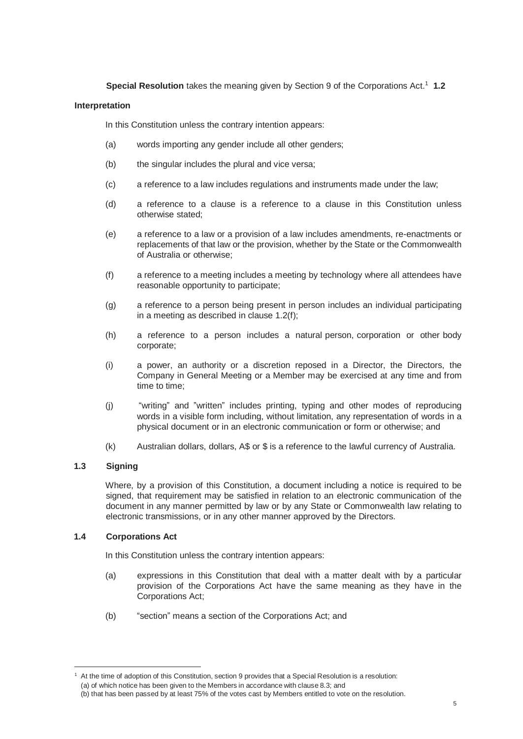**Special Resolution** takes the meaning given by Section 9 of the Corporations Act.<sup>1</sup> 1.2

#### **Interpretation**

In this Constitution unless the contrary intention appears:

- (a) words importing any gender include all other genders;
- (b) the singular includes the plural and vice versa;
- (c) a reference to a law includes regulations and instruments made under the law;
- (d) a reference to a clause is a reference to a clause in this Constitution unless otherwise stated;
- (e) a reference to a law or a provision of a law includes amendments, re-enactments or replacements of that law or the provision, whether by the State or the Commonwealth of Australia or otherwise;
- (f) a reference to a meeting includes a meeting by technology where all attendees have reasonable opportunity to participate;
- (g) a reference to a person being present in person includes an individual participating in a meeting as described in clause 1.2(f);
- (h) a reference to a person includes a natural person, corporation or other body corporate;
- (i) a power, an authority or a discretion reposed in a Director, the Directors, the Company in General Meeting or a Member may be exercised at any time and from time to time;
- (j) "writing" and "written" includes printing, typing and other modes of reproducing words in a visible form including, without limitation, any representation of words in a physical document or in an electronic communication or form or otherwise; and
- (k) Australian dollars, dollars, A\$ or \$ is a reference to the lawful currency of Australia.

## **1.3 Signing**

Where, by a provision of this Constitution, a document including a notice is required to be signed, that requirement may be satisfied in relation to an electronic communication of the document in any manner permitted by law or by any State or Commonwealth law relating to electronic transmissions, or in any other manner approved by the Directors.

## **1.4 Corporations Act**

In this Constitution unless the contrary intention appears:

- (a) expressions in this Constitution that deal with a matter dealt with by a particular provision of the Corporations Act have the same meaning as they have in the Corporations Act;
- (b) "section" means a section of the Corporations Act; and

 $1$  At the time of adoption of this Constitution, section 9 provides that a Special Resolution is a resolution: (a) of which notice has been given to the Members in accordance with clause 8.3; and

<sup>(</sup>b) that has been passed by at least 75% of the votes cast by Members entitled to vote on the resolution.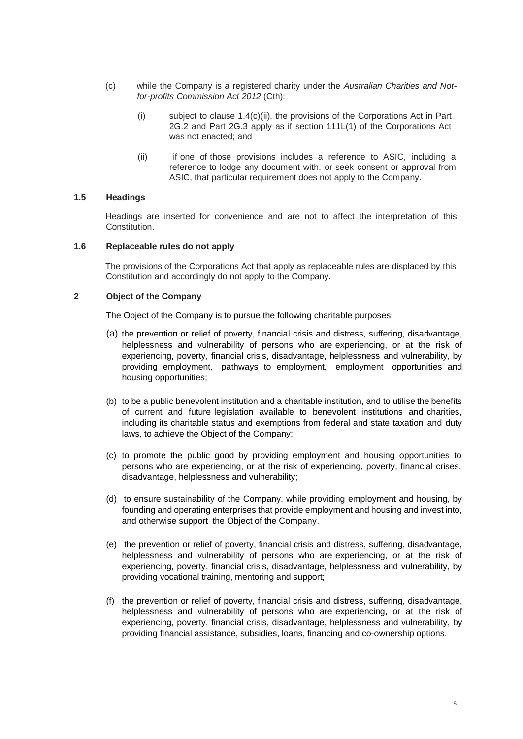- (c) while the Company is a registered charity under the *Australian Charities and Notfor-profits Commission Act 2012* (Cth):
	- (i) subject to clause  $1.4(c)(ii)$ , the provisions of the Corporations Act in Part 2G.2 and Part 2G.3 apply as if section 111L(1) of the Corporations Act was not enacted; and
	- (ii) if one of those provisions includes a reference to ASIC, including a reference to lodge any document with, or seek consent or approval from ASIC, that particular requirement does not apply to the Company.

## **1.5 Headings**

Headings are inserted for convenience and are not to affect the interpretation of this Constitution.

#### **1.6 Replaceable rules do not apply**

The provisions of the Corporations Act that apply as replaceable rules are displaced by this Constitution and accordingly do not apply to the Company.

#### **2 Object of the Company**

The Object of the Company is to pursue the following charitable purposes:

- (a) the prevention or relief of poverty, financial crisis and distress, suffering, disadvantage, helplessness and vulnerability of persons who are experiencing, or at the risk of experiencing, poverty, financial crisis, disadvantage, helplessness and vulnerability, by providing employment, pathways to employment, employment opportunities and housing opportunities;
- (b) to be a public benevolent institution and a charitable institution, and to utilise the benefits of current and future legislation available to benevolent institutions and charities, including its charitable status and exemptions from federal and state taxation and duty laws, to achieve the Object of the Company;
- (c) to promote the public good by providing employment and housing opportunities to persons who are experiencing, or at the risk of experiencing, poverty, financial crises, disadvantage, helplessness and vulnerability;
- (d) to ensure sustainability of the Company, while providing employment and housing, by founding and operating enterprises that provide employment and housing and invest into, and otherwise support the Object of the Company.
- (e) the prevention or relief of poverty, financial crisis and distress, suffering, disadvantage, helplessness and vulnerability of persons who are experiencing, or at the risk of experiencing, poverty, financial crisis, disadvantage, helplessness and vulnerability, by providing vocational training, mentoring and support;
- (f) the prevention or relief of poverty, financial crisis and distress, suffering, disadvantage, helplessness and vulnerability of persons who are experiencing, or at the risk of experiencing, poverty, financial crisis, disadvantage, helplessness and vulnerability, by providing financial assistance, subsidies, loans, financing and co-ownership options.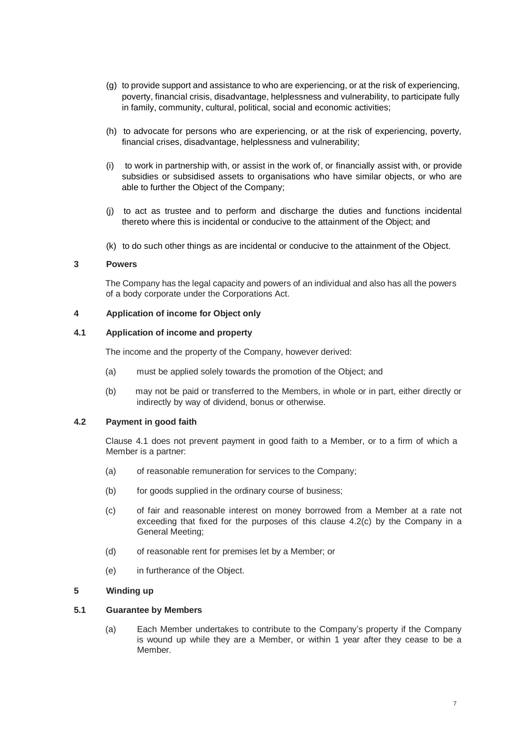- (g) to provide support and assistance to who are experiencing, or at the risk of experiencing, poverty, financial crisis, disadvantage, helplessness and vulnerability, to participate fully in family, community, cultural, political, social and economic activities;
- (h) to advocate for persons who are experiencing, or at the risk of experiencing, poverty, financial crises, disadvantage, helplessness and vulnerability;
- (i) to work in partnership with, or assist in the work of, or financially assist with, or provide subsidies or subsidised assets to organisations who have similar objects, or who are able to further the Object of the Company;
- (j) to act as trustee and to perform and discharge the duties and functions incidental thereto where this is incidental or conducive to the attainment of the Object; and
- (k) to do such other things as are incidental or conducive to the attainment of the Object.

## **3 Powers**

The Company has the legal capacity and powers of an individual and also has all the powers of a body corporate under the Corporations Act.

#### **4 Application of income for Object only**

## **4.1 Application of income and property**

The income and the property of the Company, however derived:

- (a) must be applied solely towards the promotion of the Object; and
- (b) may not be paid or transferred to the Members, in whole or in part, either directly or indirectly by way of dividend, bonus or otherwise.

## **4.2 Payment in good faith**

Clause 4.1 does not prevent payment in good faith to a Member, or to a firm of which a Member is a partner:

- (a) of reasonable remuneration for services to the Company;
- (b) for goods supplied in the ordinary course of business;
- (c) of fair and reasonable interest on money borrowed from a Member at a rate not exceeding that fixed for the purposes of this clause 4.2(c) by the Company in a General Meeting;
- (d) of reasonable rent for premises let by a Member; or
- (e) in furtherance of the Object.

## **5 Winding up**

## **5.1 Guarantee by Members**

(a) Each Member undertakes to contribute to the Company's property if the Company is wound up while they are a Member, or within 1 year after they cease to be a Member.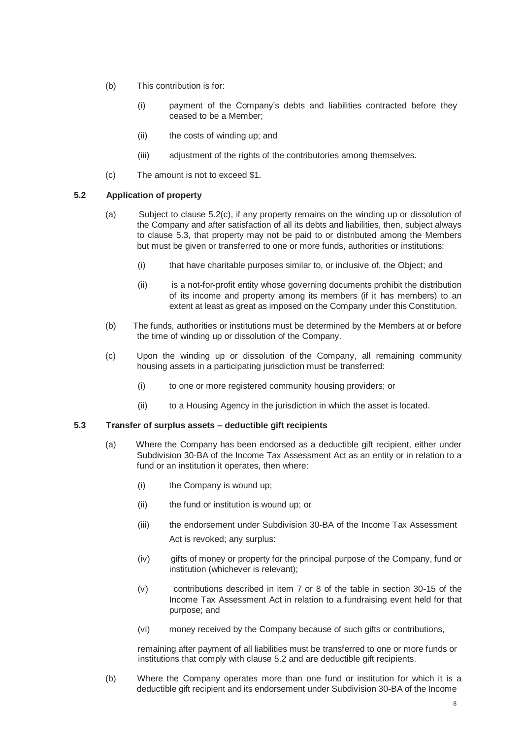- (b) This contribution is for:
	- (i) payment of the Company's debts and liabilities contracted before they ceased to be a Member;
	- (ii) the costs of winding up; and
	- (iii) adjustment of the rights of the contributories among themselves.
- (c) The amount is not to exceed \$1.

## **5.2 Application of property**

- (a) Subject to clause 5.2(c), if any property remains on the winding up or dissolution of the Company and after satisfaction of all its debts and liabilities, then, subject always to clause 5.3, that property may not be paid to or distributed among the Members but must be given or transferred to one or more funds, authorities or institutions:
	- (i) that have charitable purposes similar to, or inclusive of, the Object; and
	- (ii) is a not-for-profit entity whose governing documents prohibit the distribution of its income and property among its members (if it has members) to an extent at least as great as imposed on the Company under this Constitution.
- (b) The funds, authorities or institutions must be determined by the Members at or before the time of winding up or dissolution of the Company.
- (c) Upon the winding up or dissolution of the Company, all remaining community housing assets in a participating jurisdiction must be transferred:
	- (i) to one or more registered community housing providers; or
	- (ii) to a Housing Agency in the jurisdiction in which the asset is located.

#### **5.3 Transfer of surplus assets – deductible gift recipients**

- (a) Where the Company has been endorsed as a deductible gift recipient, either under Subdivision 30-BA of the Income Tax Assessment Act as an entity or in relation to a fund or an institution it operates, then where:
	- (i) the Company is wound up;
	- (ii) the fund or institution is wound up; or
	- (iii) the endorsement under Subdivision 30-BA of the Income Tax Assessment Act is revoked; any surplus:
	- (iv) gifts of money or property for the principal purpose of the Company, fund or institution (whichever is relevant);
	- (v) contributions described in item 7 or 8 of the table in section 30-15 of the Income Tax Assessment Act in relation to a fundraising event held for that purpose; and
	- (vi) money received by the Company because of such gifts or contributions,

remaining after payment of all liabilities must be transferred to one or more funds or institutions that comply with clause 5.2 and are deductible gift recipients.

(b) Where the Company operates more than one fund or institution for which it is a deductible gift recipient and its endorsement under Subdivision 30-BA of the Income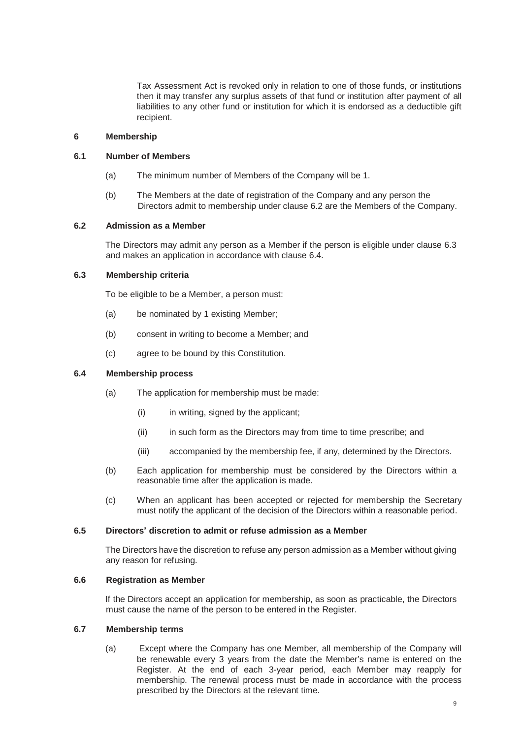Tax Assessment Act is revoked only in relation to one of those funds, or institutions then it may transfer any surplus assets of that fund or institution after payment of all liabilities to any other fund or institution for which it is endorsed as a deductible gift recipient.

#### **6 Membership**

#### **6.1 Number of Members**

- (a) The minimum number of Members of the Company will be 1.
- (b) The Members at the date of registration of the Company and any person the Directors admit to membership under clause 6.2 are the Members of the Company.

## **6.2 Admission as a Member**

The Directors may admit any person as a Member if the person is eligible under clause 6.3 and makes an application in accordance with clause 6.4.

## **6.3 Membership criteria**

To be eligible to be a Member, a person must:

- (a) be nominated by 1 existing Member;
- (b) consent in writing to become a Member; and
- (c) agree to be bound by this Constitution.

#### **6.4 Membership process**

- (a) The application for membership must be made:
	- (i) in writing, signed by the applicant;
	- (ii) in such form as the Directors may from time to time prescribe; and
	- (iii) accompanied by the membership fee, if any, determined by the Directors.
- (b) Each application for membership must be considered by the Directors within a reasonable time after the application is made.
- (c) When an applicant has been accepted or rejected for membership the Secretary must notify the applicant of the decision of the Directors within a reasonable period.

#### **6.5 Directors' discretion to admit or refuse admission as a Member**

The Directors have the discretion to refuse any person admission as a Member without giving any reason for refusing.

#### **6.6 Registration as Member**

If the Directors accept an application for membership, as soon as practicable, the Directors must cause the name of the person to be entered in the Register.

#### **6.7 Membership terms**

(a) Except where the Company has one Member, all membership of the Company will be renewable every 3 years from the date the Member's name is entered on the Register. At the end of each 3-year period, each Member may reapply for membership. The renewal process must be made in accordance with the process prescribed by the Directors at the relevant time.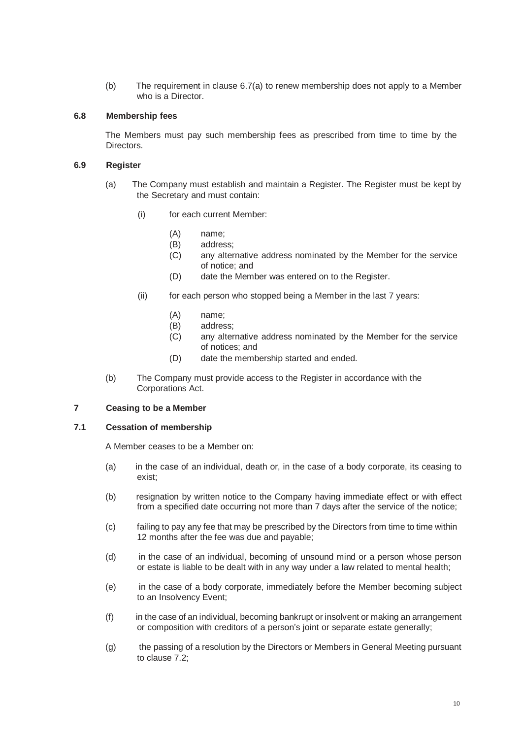(b) The requirement in clause 6.7(a) to renew membership does not apply to a Member who is a Director.

## **6.8 Membership fees**

The Members must pay such membership fees as prescribed from time to time by the Directors.

#### **6.9 Register**

- (a) The Company must establish and maintain a Register. The Register must be kept by the Secretary and must contain:
	- (i) for each current Member:
		- (A) name;<br>(B) addres
		- (B) address;<br>(C) any alter
		- any alternative address nominated by the Member for the service of notice; and
		- (D) date the Member was entered on to the Register.
	- (ii) for each person who stopped being a Member in the last 7 years:
		- (A) name;
		- (B) address;
		- (C) any alternative address nominated by the Member for the service of notices; and
		- (D) date the membership started and ended.
- (b) The Company must provide access to the Register in accordance with the Corporations Act.

## **7 Ceasing to be a Member**

#### **7.1 Cessation of membership**

A Member ceases to be a Member on:

- (a) in the case of an individual, death or, in the case of a body corporate, its ceasing to exist;
- (b) resignation by written notice to the Company having immediate effect or with effect from a specified date occurring not more than 7 days after the service of the notice;
- (c) failing to pay any fee that may be prescribed by the Directors from time to time within 12 months after the fee was due and payable;
- (d) in the case of an individual, becoming of unsound mind or a person whose person or estate is liable to be dealt with in any way under a law related to mental health;
- (e) in the case of a body corporate, immediately before the Member becoming subject to an Insolvency Event;
- (f) in the case of an individual, becoming bankrupt or insolvent or making an arrangement or composition with creditors of a person's joint or separate estate generally;
- (g) the passing of a resolution by the Directors or Members in General Meeting pursuant to clause 7.2;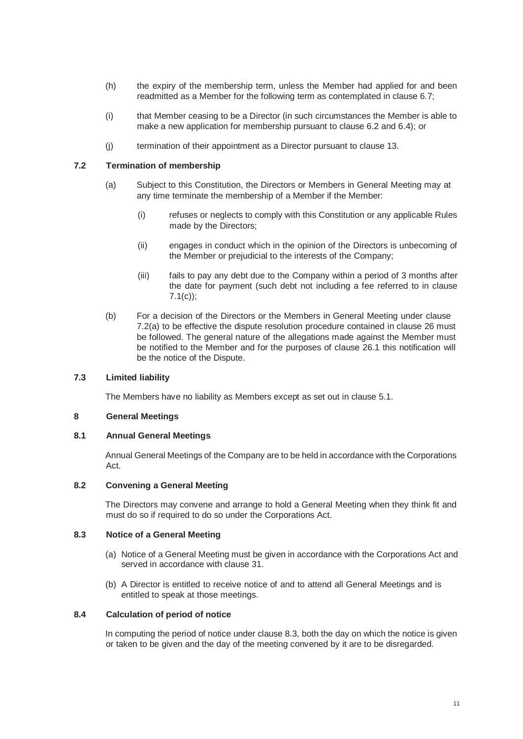- (h) the expiry of the membership term, unless the Member had applied for and been readmitted as a Member for the following term as contemplated in clause 6.7;
- (i) that Member ceasing to be a Director (in such circumstances the Member is able to make a new application for membership pursuant to clause 6.2 and 6.4); or
- (j) termination of their appointment as a Director pursuant to clause 13.

## **7.2 Termination of membership**

- (a) Subject to this Constitution, the Directors or Members in General Meeting may at any time terminate the membership of a Member if the Member:
	- (i) refuses or neglects to comply with this Constitution or any applicable Rules made by the Directors;
	- (ii) engages in conduct which in the opinion of the Directors is unbecoming of the Member or prejudicial to the interests of the Company;
	- (iii) fails to pay any debt due to the Company within a period of 3 months after the date for payment (such debt not including a fee referred to in clause 7.1(c));
- (b) For a decision of the Directors or the Members in General Meeting under clause 7.2(a) to be effective the dispute resolution procedure contained in clause 26 must be followed. The general nature of the allegations made against the Member must be notified to the Member and for the purposes of clause 26.1 this notification will be the notice of the Dispute.

#### **7.3 Limited liability**

The Members have no liability as Members except as set out in clause 5.1.

#### **8 General Meetings**

#### **8.1 Annual General Meetings**

Annual General Meetings of the Company are to be held in accordance with the Corporations Act.

#### **8.2 Convening a General Meeting**

The Directors may convene and arrange to hold a General Meeting when they think fit and must do so if required to do so under the Corporations Act.

#### **8.3 Notice of a General Meeting**

- (a) Notice of a General Meeting must be given in accordance with the Corporations Act and served in accordance with clause 31.
- (b) A Director is entitled to receive notice of and to attend all General Meetings and is entitled to speak at those meetings.

#### **8.4 Calculation of period of notice**

In computing the period of notice under clause 8.3, both the day on which the notice is given or taken to be given and the day of the meeting convened by it are to be disregarded.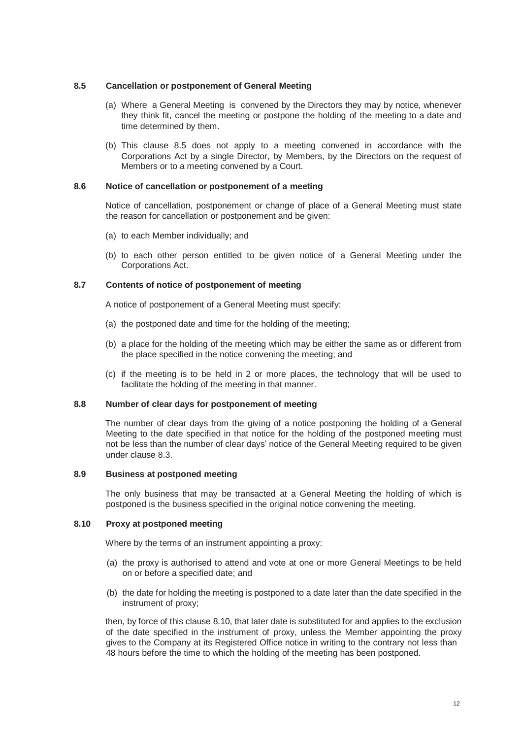#### **8.5 Cancellation or postponement of General Meeting**

- (a) Where a General Meeting is convened by the Directors they may by notice, whenever they think fit, cancel the meeting or postpone the holding of the meeting to a date and time determined by them.
- (b) This clause 8.5 does not apply to a meeting convened in accordance with the Corporations Act by a single Director, by Members, by the Directors on the request of Members or to a meeting convened by a Court.

#### **8.6 Notice of cancellation or postponement of a meeting**

Notice of cancellation, postponement or change of place of a General Meeting must state the reason for cancellation or postponement and be given:

- (a) to each Member individually; and
- (b) to each other person entitled to be given notice of a General Meeting under the Corporations Act.

## **8.7 Contents of notice of postponement of meeting**

A notice of postponement of a General Meeting must specify:

- (a) the postponed date and time for the holding of the meeting;
- (b) a place for the holding of the meeting which may be either the same as or different from the place specified in the notice convening the meeting; and
- (c) if the meeting is to be held in 2 or more places, the technology that will be used to facilitate the holding of the meeting in that manner.

#### **8.8 Number of clear days for postponement of meeting**

The number of clear days from the giving of a notice postponing the holding of a General Meeting to the date specified in that notice for the holding of the postponed meeting must not be less than the number of clear days' notice of the General Meeting required to be given under clause 8.3.

#### **8.9 Business at postponed meeting**

The only business that may be transacted at a General Meeting the holding of which is postponed is the business specified in the original notice convening the meeting.

## **8.10 Proxy at postponed meeting**

Where by the terms of an instrument appointing a proxy:

- (a) the proxy is authorised to attend and vote at one or more General Meetings to be held on or before a specified date; and
- (b) the date for holding the meeting is postponed to a date later than the date specified in the instrument of proxy;

then, by force of this clause 8.10, that later date is substituted for and applies to the exclusion of the date specified in the instrument of proxy, unless the Member appointing the proxy gives to the Company at its Registered Office notice in writing to the contrary not less than 48 hours before the time to which the holding of the meeting has been postponed.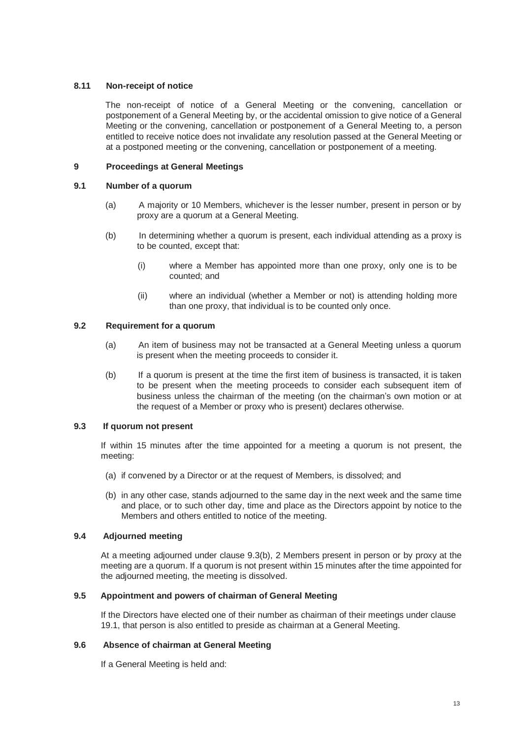## **8.11 Non-receipt of notice**

The non-receipt of notice of a General Meeting or the convening, cancellation or postponement of a General Meeting by, or the accidental omission to give notice of a General Meeting or the convening, cancellation or postponement of a General Meeting to, a person entitled to receive notice does not invalidate any resolution passed at the General Meeting or at a postponed meeting or the convening, cancellation or postponement of a meeting.

## **9 Proceedings at General Meetings**

## **9.1 Number of a quorum**

- (a) A majority or 10 Members, whichever is the lesser number, present in person or by proxy are a quorum at a General Meeting.
- (b) In determining whether a quorum is present, each individual attending as a proxy is to be counted, except that:
	- (i) where a Member has appointed more than one proxy, only one is to be counted; and
	- (ii) where an individual (whether a Member or not) is attending holding more than one proxy, that individual is to be counted only once.

## **9.2 Requirement for a quorum**

- (a) An item of business may not be transacted at a General Meeting unless a quorum is present when the meeting proceeds to consider it.
- (b) If a quorum is present at the time the first item of business is transacted, it is taken to be present when the meeting proceeds to consider each subsequent item of business unless the chairman of the meeting (on the chairman's own motion or at the request of a Member or proxy who is present) declares otherwise.

## **9.3 If quorum not present**

If within 15 minutes after the time appointed for a meeting a quorum is not present, the meeting:

- (a) if convened by a Director or at the request of Members, is dissolved; and
- (b) in any other case, stands adjourned to the same day in the next week and the same time and place, or to such other day, time and place as the Directors appoint by notice to the Members and others entitled to notice of the meeting.

## **9.4 Adjourned meeting**

At a meeting adjourned under clause 9.3(b), 2 Members present in person or by proxy at the meeting are a quorum. If a quorum is not present within 15 minutes after the time appointed for the adjourned meeting, the meeting is dissolved.

## **9.5 Appointment and powers of chairman of General Meeting**

If the Directors have elected one of their number as chairman of their meetings under clause 19.1, that person is also entitled to preside as chairman at a General Meeting.

## **9.6 Absence of chairman at General Meeting**

If a General Meeting is held and: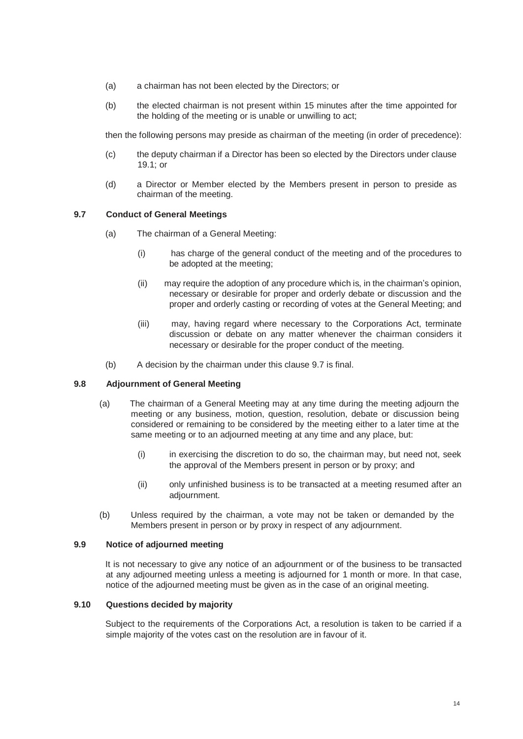- (a) a chairman has not been elected by the Directors; or
- (b) the elected chairman is not present within 15 minutes after the time appointed for the holding of the meeting or is unable or unwilling to act;

then the following persons may preside as chairman of the meeting (in order of precedence):

- (c) the deputy chairman if a Director has been so elected by the Directors under clause 19.1; or
- (d) a Director or Member elected by the Members present in person to preside as chairman of the meeting.

#### **9.7 Conduct of General Meetings**

- (a) The chairman of a General Meeting:
	- (i) has charge of the general conduct of the meeting and of the procedures to be adopted at the meeting;
	- (ii) may require the adoption of any procedure which is, in the chairman's opinion, necessary or desirable for proper and orderly debate or discussion and the proper and orderly casting or recording of votes at the General Meeting; and
	- (iii) may, having regard where necessary to the Corporations Act, terminate discussion or debate on any matter whenever the chairman considers it necessary or desirable for the proper conduct of the meeting.
- (b) A decision by the chairman under this clause 9.7 is final.

#### **9.8 Adjournment of General Meeting**

- (a) The chairman of a General Meeting may at any time during the meeting adjourn the meeting or any business, motion, question, resolution, debate or discussion being considered or remaining to be considered by the meeting either to a later time at the same meeting or to an adjourned meeting at any time and any place, but:
	- (i) in exercising the discretion to do so, the chairman may, but need not, seek the approval of the Members present in person or by proxy; and
	- (ii) only unfinished business is to be transacted at a meeting resumed after an adjournment.
- (b) Unless required by the chairman, a vote may not be taken or demanded by the Members present in person or by proxy in respect of any adjournment.

#### **9.9 Notice of adjourned meeting**

It is not necessary to give any notice of an adjournment or of the business to be transacted at any adjourned meeting unless a meeting is adjourned for 1 month or more. In that case, notice of the adjourned meeting must be given as in the case of an original meeting.

## **9.10 Questions decided by majority**

Subject to the requirements of the Corporations Act, a resolution is taken to be carried if a simple majority of the votes cast on the resolution are in favour of it.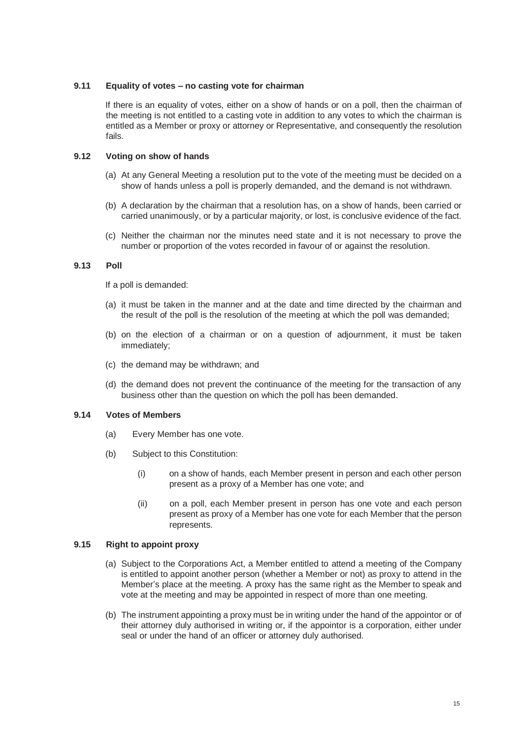### **9.11 Equality of votes – no casting vote for chairman**

If there is an equality of votes, either on a show of hands or on a poll, then the chairman of the meeting is not entitled to a casting vote in addition to any votes to which the chairman is entitled as a Member or proxy or attorney or Representative, and consequently the resolution fails.

## **9.12 Voting on show of hands**

- (a) At any General Meeting a resolution put to the vote of the meeting must be decided on a show of hands unless a poll is properly demanded, and the demand is not withdrawn.
- (b) A declaration by the chairman that a resolution has, on a show of hands, been carried or carried unanimously, or by a particular majority, or lost, is conclusive evidence of the fact.
- (c) Neither the chairman nor the minutes need state and it is not necessary to prove the number or proportion of the votes recorded in favour of or against the resolution.

## **9.13 Poll**

If a poll is demanded:

- (a) it must be taken in the manner and at the date and time directed by the chairman and the result of the poll is the resolution of the meeting at which the poll was demanded;
- (b) on the election of a chairman or on a question of adjournment, it must be taken immediately;
- (c) the demand may be withdrawn; and
- (d) the demand does not prevent the continuance of the meeting for the transaction of any business other than the question on which the poll has been demanded.

#### **9.14 Votes of Members**

- (a) Every Member has one vote.
- (b) Subject to this Constitution:
	- (i) on a show of hands, each Member present in person and each other person present as a proxy of a Member has one vote; and
	- (ii) on a poll, each Member present in person has one vote and each person present as proxy of a Member has one vote for each Member that the person represents.

## **9.15 Right to appoint proxy**

- (a) Subject to the Corporations Act, a Member entitled to attend a meeting of the Company is entitled to appoint another person (whether a Member or not) as proxy to attend in the Member's place at the meeting. A proxy has the same right as the Member to speak and vote at the meeting and may be appointed in respect of more than one meeting.
- (b) The instrument appointing a proxy must be in writing under the hand of the appointor or of their attorney duly authorised in writing or, if the appointor is a corporation, either under seal or under the hand of an officer or attorney duly authorised.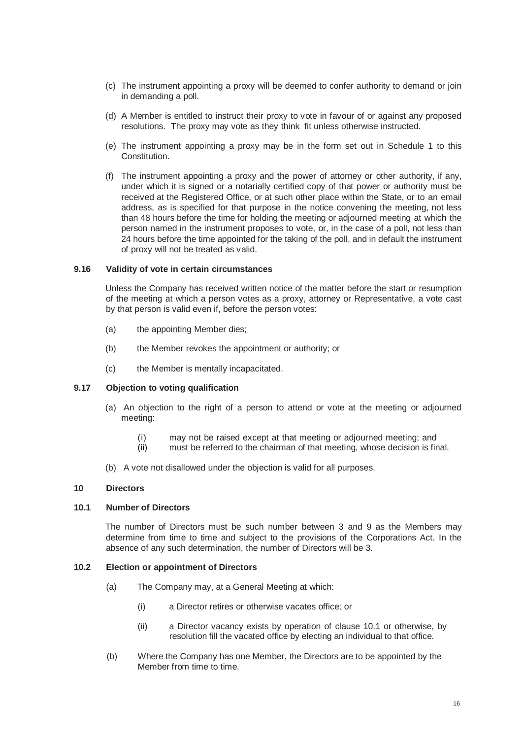- (c) The instrument appointing a proxy will be deemed to confer authority to demand or join in demanding a poll.
- (d) A Member is entitled to instruct their proxy to vote in favour of or against any proposed resolutions. The proxy may vote as they think fit unless otherwise instructed.
- (e) The instrument appointing a proxy may be in the form set out in Schedule 1 to this Constitution.
- (f) The instrument appointing a proxy and the power of attorney or other authority, if any, under which it is signed or a notarially certified copy of that power or authority must be received at the Registered Office, or at such other place within the State, or to an email address, as is specified for that purpose in the notice convening the meeting, not less than 48 hours before the time for holding the meeting or adjourned meeting at which the person named in the instrument proposes to vote, or, in the case of a poll, not less than 24 hours before the time appointed for the taking of the poll, and in default the instrument of proxy will not be treated as valid.

#### **9.16 Validity of vote in certain circumstances**

Unless the Company has received written notice of the matter before the start or resumption of the meeting at which a person votes as a proxy, attorney or Representative, a vote cast by that person is valid even if, before the person votes:

- (a) the appointing Member dies;
- (b) the Member revokes the appointment or authority; or
- (c) the Member is mentally incapacitated.

#### **9.17 Objection to voting qualification**

- (a) An objection to the right of a person to attend or vote at the meeting or adjourned meeting:
	- (i) may not be raised except at that meeting or adjourned meeting; and
	- (ii) must be referred to the chairman of that meeting, whose decision is final.
- (b) A vote not disallowed under the objection is valid for all purposes.

## **10 Directors**

#### **10.1 Number of Directors**

The number of Directors must be such number between 3 and 9 as the Members may determine from time to time and subject to the provisions of the Corporations Act. In the absence of any such determination, the number of Directors will be 3.

#### **10.2 Election or appointment of Directors**

- (a) The Company may, at a General Meeting at which:
	- (i) a Director retires or otherwise vacates office; or
	- (ii) a Director vacancy exists by operation of clause 10.1 or otherwise, by resolution fill the vacated office by electing an individual to that office.
- (b) Where the Company has one Member, the Directors are to be appointed by the Member from time to time.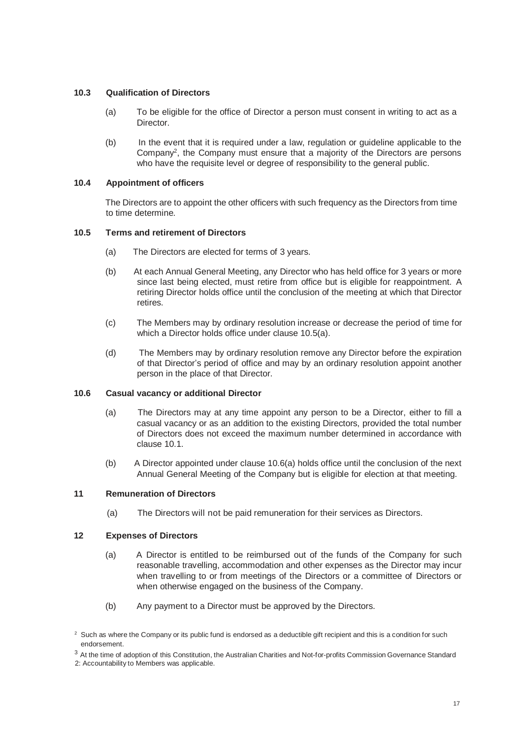## **10.3 Qualification of Directors**

- (a) To be eligible for the office of Director a person must consent in writing to act as a Director.
- (b) In the event that it is required under a law, regulation or guideline applicable to the Company<sup>2</sup>, the Company must ensure that a majority of the Directors are persons who have the requisite level or degree of responsibility to the general public.

## **10.4 Appointment of officers**

The Directors are to appoint the other officers with such frequency as the Directors from time to time determine.

## **10.5 Terms and retirement of Directors**

- (a) The Directors are elected for terms of 3 years.
- (b) At each Annual General Meeting, any Director who has held office for 3 years or more since last being elected, must retire from office but is eligible for reappointment. A retiring Director holds office until the conclusion of the meeting at which that Director retires.
- (c) The Members may by ordinary resolution increase or decrease the period of time for which a Director holds office under clause 10.5(a).
- (d) The Members may by ordinary resolution remove any Director before the expiration of that Director's period of office and may by an ordinary resolution appoint another person in the place of that Director.

#### **10.6 Casual vacancy or additional Director**

- (a) The Directors may at any time appoint any person to be a Director, either to fill a casual vacancy or as an addition to the existing Directors, provided the total number of Directors does not exceed the maximum number determined in accordance with clause 10.1.
- (b) A Director appointed under clause 10.6(a) holds office until the conclusion of the next Annual General Meeting of the Company but is eligible for election at that meeting.

## **11 Remuneration of Directors**

(a) The Directors will not be paid remuneration for their services as Directors.

#### **12 Expenses of Directors**

- (a) A Director is entitled to be reimbursed out of the funds of the Company for such reasonable travelling, accommodation and other expenses as the Director may incur when travelling to or from meetings of the Directors or a committee of Directors or when otherwise engaged on the business of the Company.
- (b) Any payment to a Director must be approved by the Directors.

 $2$  Such as where the Company or its public fund is endorsed as a deductible gift recipient and this is a condition for such endorsement.

 $3$  At the time of adoption of this Constitution, the Australian Charities and Not-for-profits Commission Governance Standard

<sup>2:</sup> Accountability to Members was applicable.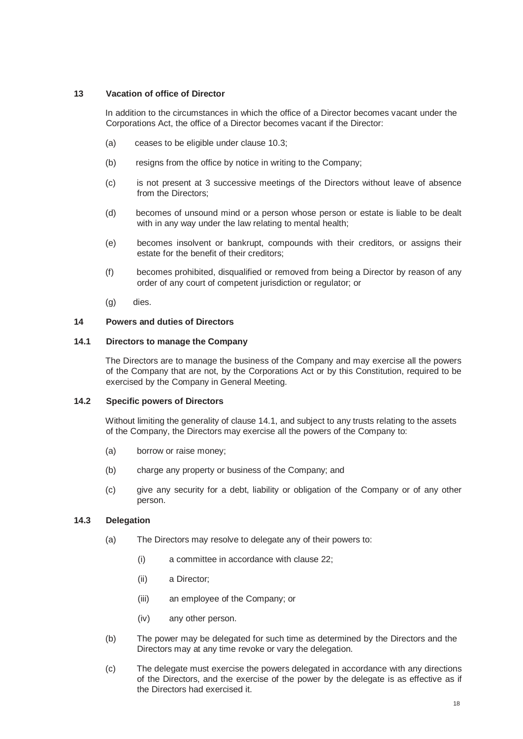## **13 Vacation of office of Director**

In addition to the circumstances in which the office of a Director becomes vacant under the Corporations Act, the office of a Director becomes vacant if the Director:

- (a) ceases to be eligible under clause 10.3;
- (b) resigns from the office by notice in writing to the Company;
- (c) is not present at 3 successive meetings of the Directors without leave of absence from the Directors;
- (d) becomes of unsound mind or a person whose person or estate is liable to be dealt with in any way under the law relating to mental health;
- (e) becomes insolvent or bankrupt, compounds with their creditors, or assigns their estate for the benefit of their creditors;
- (f) becomes prohibited, disqualified or removed from being a Director by reason of any order of any court of competent jurisdiction or regulator; or
- (g) dies.

## **14 Powers and duties of Directors**

## **14.1 Directors to manage the Company**

The Directors are to manage the business of the Company and may exercise all the powers of the Company that are not, by the Corporations Act or by this Constitution, required to be exercised by the Company in General Meeting.

#### **14.2 Specific powers of Directors**

Without limiting the generality of clause 14.1, and subject to any trusts relating to the assets of the Company, the Directors may exercise all the powers of the Company to:

- (a) borrow or raise money;
- (b) charge any property or business of the Company; and
- (c) give any security for a debt, liability or obligation of the Company or of any other person.

## **14.3 Delegation**

- (a) The Directors may resolve to delegate any of their powers to:
	- (i) a committee in accordance with clause 22;
	- (ii) a Director;
	- (iii) an employee of the Company; or
	- (iv) any other person.
- (b) The power may be delegated for such time as determined by the Directors and the Directors may at any time revoke or vary the delegation.
- (c) The delegate must exercise the powers delegated in accordance with any directions of the Directors, and the exercise of the power by the delegate is as effective as if the Directors had exercised it.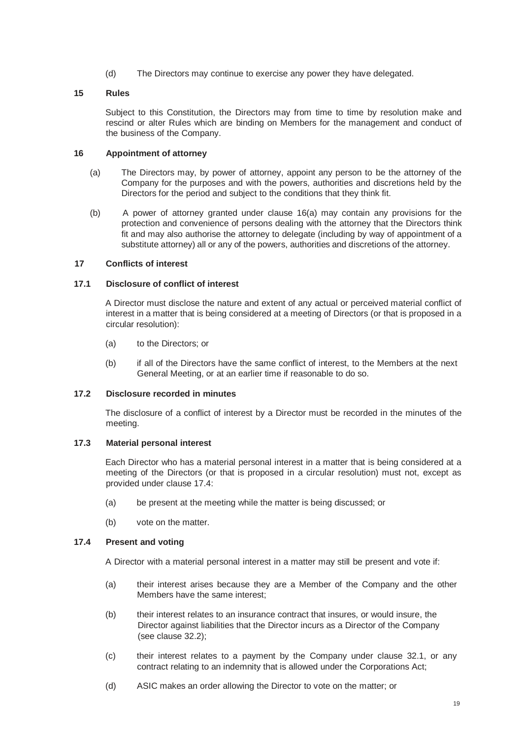(d) The Directors may continue to exercise any power they have delegated.

## **15 Rules**

Subject to this Constitution, the Directors may from time to time by resolution make and rescind or alter Rules which are binding on Members for the management and conduct of the business of the Company.

#### **16 Appointment of attorney**

- (a) The Directors may, by power of attorney, appoint any person to be the attorney of the Company for the purposes and with the powers, authorities and discretions held by the Directors for the period and subject to the conditions that they think fit.
- (b) A power of attorney granted under clause 16(a) may contain any provisions for the protection and convenience of persons dealing with the attorney that the Directors think fit and may also authorise the attorney to delegate (including by way of appointment of a substitute attorney) all or any of the powers, authorities and discretions of the attorney.

## **17 Conflicts of interest**

#### **17.1 Disclosure of conflict of interest**

A Director must disclose the nature and extent of any actual or perceived material conflict of interest in a matter that is being considered at a meeting of Directors (or that is proposed in a circular resolution):

- (a) to the Directors; or
- (b) if all of the Directors have the same conflict of interest, to the Members at the next General Meeting, or at an earlier time if reasonable to do so.

#### **17.2 Disclosure recorded in minutes**

The disclosure of a conflict of interest by a Director must be recorded in the minutes of the meeting.

## **17.3 Material personal interest**

Each Director who has a material personal interest in a matter that is being considered at a meeting of the Directors (or that is proposed in a circular resolution) must not, except as provided under clause 17.4:

- (a) be present at the meeting while the matter is being discussed; or
- (b) vote on the matter.

## **17.4 Present and voting**

A Director with a material personal interest in a matter may still be present and vote if:

- (a) their interest arises because they are a Member of the Company and the other Members have the same interest;
- (b) their interest relates to an insurance contract that insures, or would insure, the Director against liabilities that the Director incurs as a Director of the Company (see clause 32.2);
- (c) their interest relates to a payment by the Company under clause 32.1, or any contract relating to an indemnity that is allowed under the Corporations Act;
- (d) ASIC makes an order allowing the Director to vote on the matter; or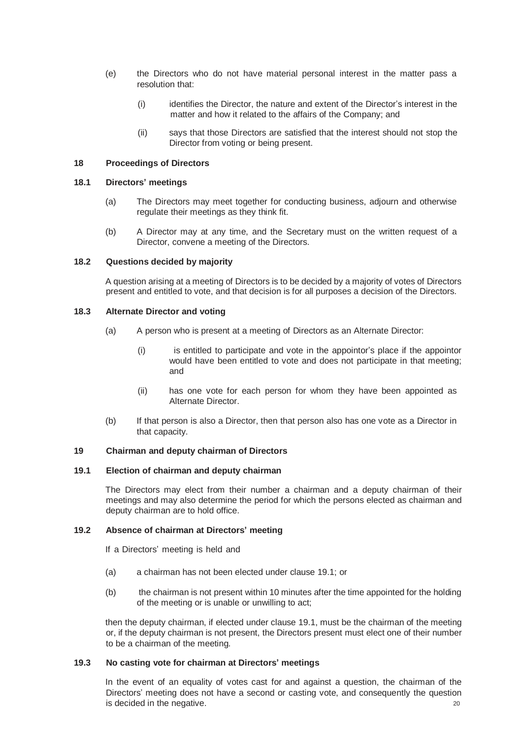- (e) the Directors who do not have material personal interest in the matter pass a resolution that:
	- (i) identifies the Director, the nature and extent of the Director's interest in the matter and how it related to the affairs of the Company; and
	- (ii) says that those Directors are satisfied that the interest should not stop the Director from voting or being present.

#### **18 Proceedings of Directors**

#### **18.1 Directors' meetings**

- (a) The Directors may meet together for conducting business, adjourn and otherwise regulate their meetings as they think fit.
- (b) A Director may at any time, and the Secretary must on the written request of a Director, convene a meeting of the Directors.

#### **18.2 Questions decided by majority**

A question arising at a meeting of Directors is to be decided by a majority of votes of Directors present and entitled to vote, and that decision is for all purposes a decision of the Directors.

## **18.3 Alternate Director and voting**

- (a) A person who is present at a meeting of Directors as an Alternate Director:
	- (i) is entitled to participate and vote in the appointor's place if the appointor would have been entitled to vote and does not participate in that meeting; and
	- (ii) has one vote for each person for whom they have been appointed as Alternate Director.
- (b) If that person is also a Director, then that person also has one vote as a Director in that capacity.

#### **19 Chairman and deputy chairman of Directors**

#### **19.1 Election of chairman and deputy chairman**

The Directors may elect from their number a chairman and a deputy chairman of their meetings and may also determine the period for which the persons elected as chairman and deputy chairman are to hold office.

#### **19.2 Absence of chairman at Directors' meeting**

If a Directors' meeting is held and

- (a) a chairman has not been elected under clause 19.1; or
- (b) the chairman is not present within 10 minutes after the time appointed for the holding of the meeting or is unable or unwilling to act;

then the deputy chairman, if elected under clause 19.1, must be the chairman of the meeting or, if the deputy chairman is not present, the Directors present must elect one of their number to be a chairman of the meeting.

#### **19.3 No casting vote for chairman at Directors' meetings**

20 In the event of an equality of votes cast for and against a question, the chairman of the Directors' meeting does not have a second or casting vote, and consequently the question is decided in the negative.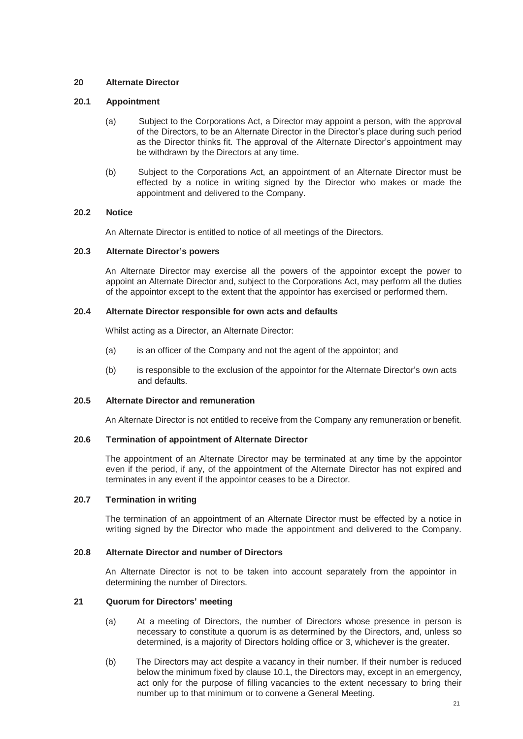### **20 Alternate Director**

#### **20.1 Appointment**

- (a) Subject to the Corporations Act, a Director may appoint a person, with the approval of the Directors, to be an Alternate Director in the Director's place during such period as the Director thinks fit. The approval of the Alternate Director's appointment may be withdrawn by the Directors at any time.
- (b) Subject to the Corporations Act, an appointment of an Alternate Director must be effected by a notice in writing signed by the Director who makes or made the appointment and delivered to the Company.

#### **20.2 Notice**

An Alternate Director is entitled to notice of all meetings of the Directors.

#### **20.3 Alternate Director's powers**

An Alternate Director may exercise all the powers of the appointor except the power to appoint an Alternate Director and, subject to the Corporations Act, may perform all the duties of the appointor except to the extent that the appointor has exercised or performed them.

## **20.4 Alternate Director responsible for own acts and defaults**

Whilst acting as a Director, an Alternate Director:

- (a) is an officer of the Company and not the agent of the appointor; and
- (b) is responsible to the exclusion of the appointor for the Alternate Director's own acts and defaults.

#### **20.5 Alternate Director and remuneration**

An Alternate Director is not entitled to receive from the Company any remuneration or benefit.

## **20.6 Termination of appointment of Alternate Director**

The appointment of an Alternate Director may be terminated at any time by the appointor even if the period, if any, of the appointment of the Alternate Director has not expired and terminates in any event if the appointor ceases to be a Director.

## **20.7 Termination in writing**

The termination of an appointment of an Alternate Director must be effected by a notice in writing signed by the Director who made the appointment and delivered to the Company.

#### **20.8 Alternate Director and number of Directors**

An Alternate Director is not to be taken into account separately from the appointor in determining the number of Directors.

## **21 Quorum for Directors' meeting**

- (a) At a meeting of Directors, the number of Directors whose presence in person is necessary to constitute a quorum is as determined by the Directors, and, unless so determined, is a majority of Directors holding office or 3, whichever is the greater.
- (b) The Directors may act despite a vacancy in their number. If their number is reduced below the minimum fixed by clause 10.1, the Directors may, except in an emergency, act only for the purpose of filling vacancies to the extent necessary to bring their number up to that minimum or to convene a General Meeting.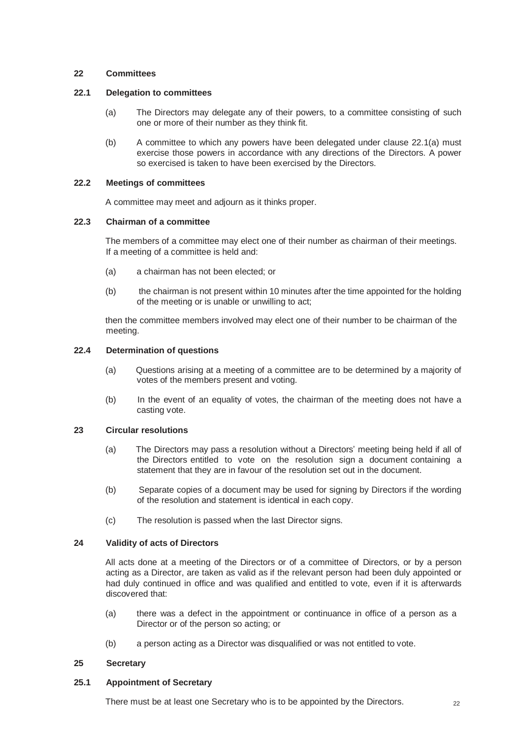#### **22 Committees**

## **22.1 Delegation to committees**

- (a) The Directors may delegate any of their powers, to a committee consisting of such one or more of their number as they think fit.
- (b) A committee to which any powers have been delegated under clause 22.1(a) must exercise those powers in accordance with any directions of the Directors. A power so exercised is taken to have been exercised by the Directors.

## **22.2 Meetings of committees**

A committee may meet and adjourn as it thinks proper.

## **22.3 Chairman of a committee**

The members of a committee may elect one of their number as chairman of their meetings. If a meeting of a committee is held and:

- (a) a chairman has not been elected; or
- (b) the chairman is not present within 10 minutes after the time appointed for the holding of the meeting or is unable or unwilling to act;

then the committee members involved may elect one of their number to be chairman of the meeting.

#### **22.4 Determination of questions**

- (a) Questions arising at a meeting of a committee are to be determined by a majority of votes of the members present and voting.
- (b) In the event of an equality of votes, the chairman of the meeting does not have a casting vote.

## **23 Circular resolutions**

- (a) The Directors may pass a resolution without a Directors' meeting being held if all of the Directors entitled to vote on the resolution sign a document containing a statement that they are in favour of the resolution set out in the document.
- (b) Separate copies of a document may be used for signing by Directors if the wording of the resolution and statement is identical in each copy.
- (c) The resolution is passed when the last Director signs.

## **24 Validity of acts of Directors**

All acts done at a meeting of the Directors or of a committee of Directors, or by a person acting as a Director, are taken as valid as if the relevant person had been duly appointed or had duly continued in office and was qualified and entitled to vote, even if it is afterwards discovered that:

- (a) there was a defect in the appointment or continuance in office of a person as a Director or of the person so acting; or
- (b) a person acting as a Director was disqualified or was not entitled to vote.

#### **25 Secretary**

## **25.1 Appointment of Secretary**

There must be at least one Secretary who is to be appointed by the Directors.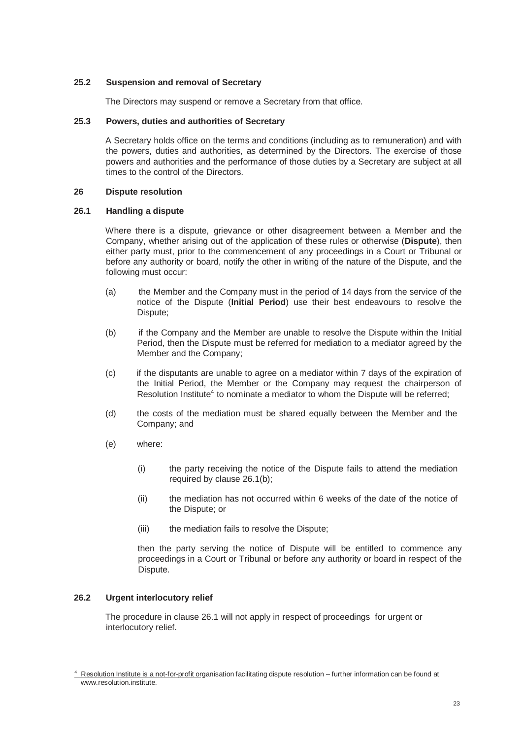## **25.2 Suspension and removal of Secretary**

The Directors may suspend or remove a Secretary from that office.

## **25.3 Powers, duties and authorities of Secretary**

A Secretary holds office on the terms and conditions (including as to remuneration) and with the powers, duties and authorities, as determined by the Directors. The exercise of those powers and authorities and the performance of those duties by a Secretary are subject at all times to the control of the Directors.

#### **26 Dispute resolution**

#### **26.1 Handling a dispute**

Where there is a dispute, grievance or other disagreement between a Member and the Company, whether arising out of the application of these rules or otherwise (**Dispute**), then either party must, prior to the commencement of any proceedings in a Court or Tribunal or before any authority or board, notify the other in writing of the nature of the Dispute, and the following must occur:

- (a) the Member and the Company must in the period of 14 days from the service of the notice of the Dispute (**Initial Period**) use their best endeavours to resolve the Dispute;
- (b) if the Company and the Member are unable to resolve the Dispute within the Initial Period, then the Dispute must be referred for mediation to a mediator agreed by the Member and the Company;
- (c) if the disputants are unable to agree on a mediator within 7 days of the expiration of the Initial Period, the Member or the Company may request the chairperson of Resolution Institute<sup>4</sup> to nominate a mediator to whom the Dispute will be referred;
- (d) the costs of the mediation must be shared equally between the Member and the Company; and
- (e) where:
	- (i) the party receiving the notice of the Dispute fails to attend the mediation required by clause 26.1(b);
	- (ii) the mediation has not occurred within 6 weeks of the date of the notice of the Dispute; or
	- (iii) the mediation fails to resolve the Dispute;

then the party serving the notice of Dispute will be entitled to commence any proceedings in a Court or Tribunal or before any authority or board in respect of the Dispute.

## **26.2 Urgent interlocutory relief**

The procedure in clause 26.1 will not apply in respect of proceedings for urgent or interlocutory relief.

 $4$  Resolution Institute is a not-for-profit organis[at](http://www.resolution.institute/)ion facilitating dispute resolution – further information can be found at [www.resolution.institute.](http://www.resolution.institute/)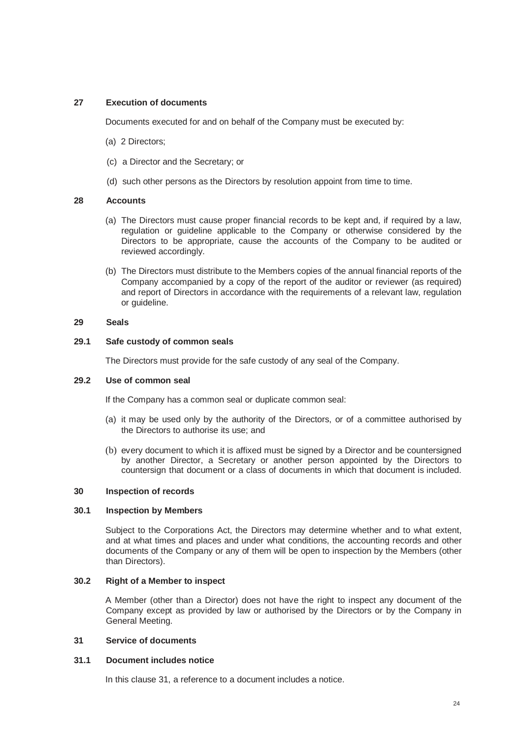## **27 Execution of documents**

Documents executed for and on behalf of the Company must be executed by:

- (a) 2 Directors;
- (c) a Director and the Secretary; or
- (d) such other persons as the Directors by resolution appoint from time to time.

## **28 Accounts**

- (a) The Directors must cause proper financial records to be kept and, if required by a law, regulation or guideline applicable to the Company or otherwise considered by the Directors to be appropriate, cause the accounts of the Company to be audited or reviewed accordingly.
- (b) The Directors must distribute to the Members copies of the annual financial reports of the Company accompanied by a copy of the report of the auditor or reviewer (as required) and report of Directors in accordance with the requirements of a relevant law, regulation or guideline.

#### **29 Seals**

#### **29.1 Safe custody of common seals**

The Directors must provide for the safe custody of any seal of the Company.

#### **29.2 Use of common seal**

If the Company has a common seal or duplicate common seal:

- (a) it may be used only by the authority of the Directors, or of a committee authorised by the Directors to authorise its use; and
- (b) every document to which it is affixed must be signed by a Director and be countersigned by another Director, a Secretary or another person appointed by the Directors to countersign that document or a class of documents in which that document is included.

#### **30 Inspection of records**

#### **30.1 Inspection by Members**

Subject to the Corporations Act, the Directors may determine whether and to what extent, and at what times and places and under what conditions, the accounting records and other documents of the Company or any of them will be open to inspection by the Members (other than Directors).

## **30.2 Right of a Member to inspect**

A Member (other than a Director) does not have the right to inspect any document of the Company except as provided by law or authorised by the Directors or by the Company in General Meeting.

## **31 Service of documents**

#### **31.1 Document includes notice**

In this clause 31, a reference to a document includes a notice.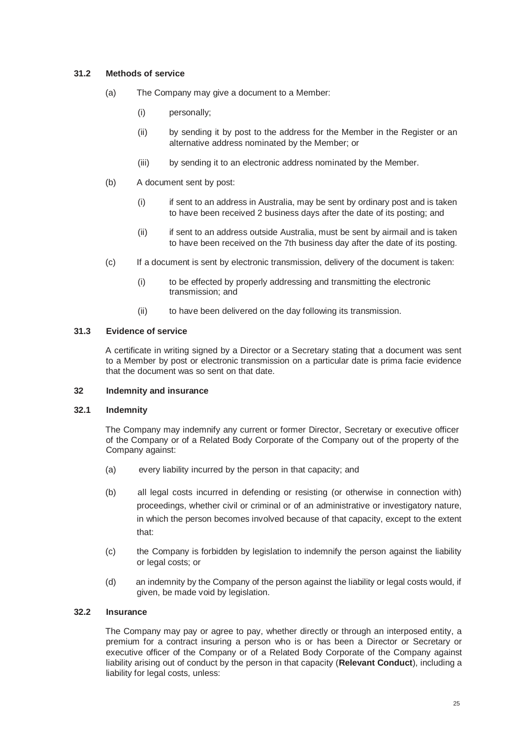### **31.2 Methods of service**

- (a) The Company may give a document to a Member:
	- (i) personally;
	- (ii) by sending it by post to the address for the Member in the Register or an alternative address nominated by the Member; or
	- (iii) by sending it to an electronic address nominated by the Member.
- (b) A document sent by post:
	- (i) if sent to an address in Australia, may be sent by ordinary post and is taken to have been received 2 business days after the date of its posting; and
	- (ii) if sent to an address outside Australia, must be sent by airmail and is taken to have been received on the 7th business day after the date of its posting.
- (c) If a document is sent by electronic transmission, delivery of the document is taken:
	- (i) to be effected by properly addressing and transmitting the electronic transmission; and
	- (ii) to have been delivered on the day following its transmission.

#### **31.3 Evidence of service**

A certificate in writing signed by a Director or a Secretary stating that a document was sent to a Member by post or electronic transmission on a particular date is prima facie evidence that the document was so sent on that date.

#### **32 Indemnity and insurance**

#### **32.1 Indemnity**

The Company may indemnify any current or former Director, Secretary or executive officer of the Company or of a Related Body Corporate of the Company out of the property of the Company against:

- (a) every liability incurred by the person in that capacity; and
- (b) all legal costs incurred in defending or resisting (or otherwise in connection with) proceedings, whether civil or criminal or of an administrative or investigatory nature, in which the person becomes involved because of that capacity, except to the extent that:
- (c) the Company is forbidden by legislation to indemnify the person against the liability or legal costs; or
- (d) an indemnity by the Company of the person against the liability or legal costs would, if given, be made void by legislation.

## **32.2 Insurance**

The Company may pay or agree to pay, whether directly or through an interposed entity, a premium for a contract insuring a person who is or has been a Director or Secretary or executive officer of the Company or of a Related Body Corporate of the Company against liability arising out of conduct by the person in that capacity (**Relevant Conduct**), including a liability for legal costs, unless: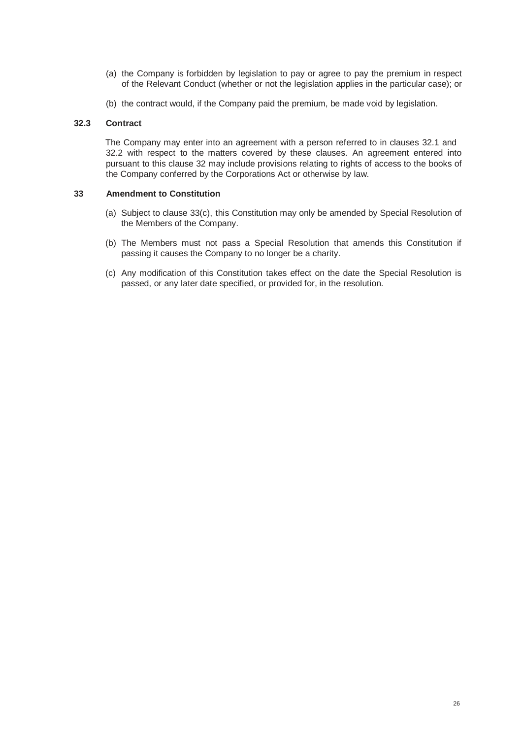- (a) the Company is forbidden by legislation to pay or agree to pay the premium in respect of the Relevant Conduct (whether or not the legislation applies in the particular case); or
- (b) the contract would, if the Company paid the premium, be made void by legislation.

#### **32.3 Contract**

The Company may enter into an agreement with a person referred to in clauses 32.1 and 32.2 with respect to the matters covered by these clauses. An agreement entered into pursuant to this clause 32 may include provisions relating to rights of access to the books of the Company conferred by the Corporations Act or otherwise by law.

#### **33 Amendment to Constitution**

- (a) Subject to clause 33(c), this Constitution may only be amended by Special Resolution of the Members of the Company.
- (b) The Members must not pass a Special Resolution that amends this Constitution if passing it causes the Company to no longer be a charity.
- (c) Any modification of this Constitution takes effect on the date the Special Resolution is passed, or any later date specified, or provided for, in the resolution.